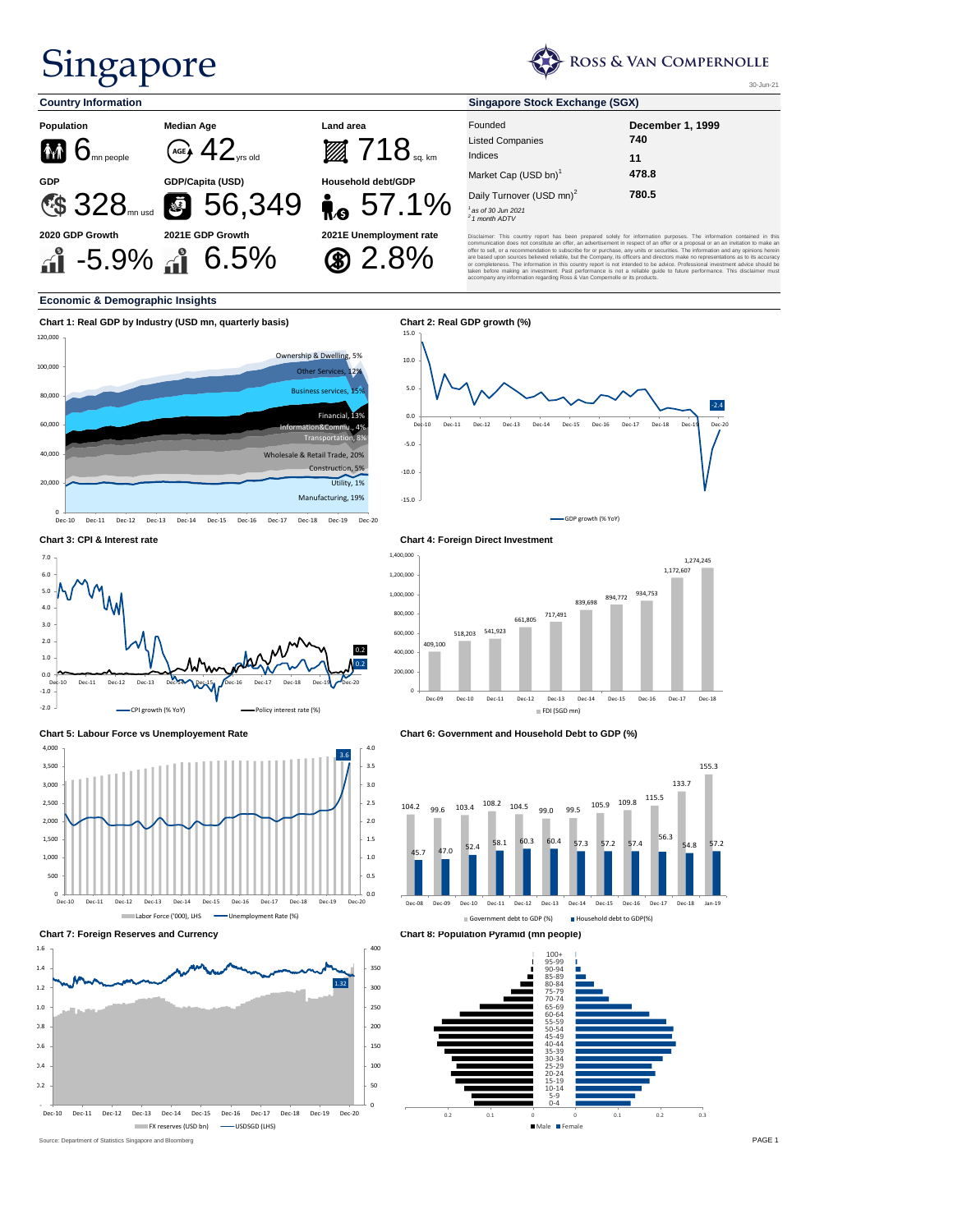30-Jun-21

## **Economic & Demographic Insights**

### **Chart 3: CPI & Interest rate Chart 4: Foreign Direct Investment**



## Singapore



| <b>Country Information</b>                               |                                                              | <b>Singapore Stock Exchange (SGX)</b> |                                                                                                                                                                                                                                                                                                                                                                                                                                                                                                                                                                                                                                                                                                                                                                                                                                                                               |                         |  |  |  |  |  |
|----------------------------------------------------------|--------------------------------------------------------------|---------------------------------------|-------------------------------------------------------------------------------------------------------------------------------------------------------------------------------------------------------------------------------------------------------------------------------------------------------------------------------------------------------------------------------------------------------------------------------------------------------------------------------------------------------------------------------------------------------------------------------------------------------------------------------------------------------------------------------------------------------------------------------------------------------------------------------------------------------------------------------------------------------------------------------|-------------------------|--|--|--|--|--|
| <b>Population</b>                                        | <b>Median Age</b>                                            | <b>Land area</b>                      | Founded                                                                                                                                                                                                                                                                                                                                                                                                                                                                                                                                                                                                                                                                                                                                                                                                                                                                       | <b>December 1, 1999</b> |  |  |  |  |  |
|                                                          |                                                              |                                       | <b>Listed Companies</b>                                                                                                                                                                                                                                                                                                                                                                                                                                                                                                                                                                                                                                                                                                                                                                                                                                                       | 740                     |  |  |  |  |  |
| $\mathbf{\hat{M}}$ $\mathbf{\hat{G}}_{\text{mn people}}$ | $\sqrt{\mathsf{AGE}}$ 42 $_{\mathsf{VTS}$ old                | $\mathbb{Z}$ $718$ sq. km             | Indices                                                                                                                                                                                                                                                                                                                                                                                                                                                                                                                                                                                                                                                                                                                                                                                                                                                                       | 11                      |  |  |  |  |  |
| <b>GDP</b>                                               | <b>GDP/Capita (USD)</b>                                      | <b>Household debt/GDP</b>             | Market Cap (USD bn) <sup>1</sup>                                                                                                                                                                                                                                                                                                                                                                                                                                                                                                                                                                                                                                                                                                                                                                                                                                              | 478.8                   |  |  |  |  |  |
|                                                          |                                                              |                                       | Daily Turnover (USD mn) <sup>2</sup>                                                                                                                                                                                                                                                                                                                                                                                                                                                                                                                                                                                                                                                                                                                                                                                                                                          | 780.5                   |  |  |  |  |  |
|                                                          | CS 328 mn usd S 56,349                                       | $R_0$ 57.1%                           | as of 30 Jun 2021<br>$2$ 1 month ADTV                                                                                                                                                                                                                                                                                                                                                                                                                                                                                                                                                                                                                                                                                                                                                                                                                                         |                         |  |  |  |  |  |
| 2020 GDP Growth                                          | 2021E GDP Growth<br>$\mathbf{a}^2$ -5.9% $\mathbf{a}^2$ 6.5% | 2021E Unemployment rate<br>$$2.8\%$   | Disclaimer: This country report has been prepared solely for information purposes. The information contained in this<br>communication does not constitute an offer, an advertisement in respect of an offer or a proposal or an an invitation to make an<br>offer to sell, or a recommendation to subscribe for or purchase, any units or securities. The information and any opinions herein<br>are based upon sources believed reliable, but the Company, its officers and directors make no representations as to its accuracy<br>or completeness. The information in this country report is not intended to be advice. Professional investment advice should be<br>taken before making an investment. Past performance is not a reliable guide to future performance. This disclaimer must<br>accompany any information regarding Ross & Van Compernolle or its products. |                         |  |  |  |  |  |





0

-

 $0 - 4$ 

Male Female

0.2 0.1 0 0 0.1 0.2 0.3

Dec-10 Dec-11 Dec-12 Dec-13 Dec-14 Dec-15 Dec-16 Dec-17 Dec-18 Dec-19 Dec-20

**FX reserves (USD bn) - USDSGD (LHS)**